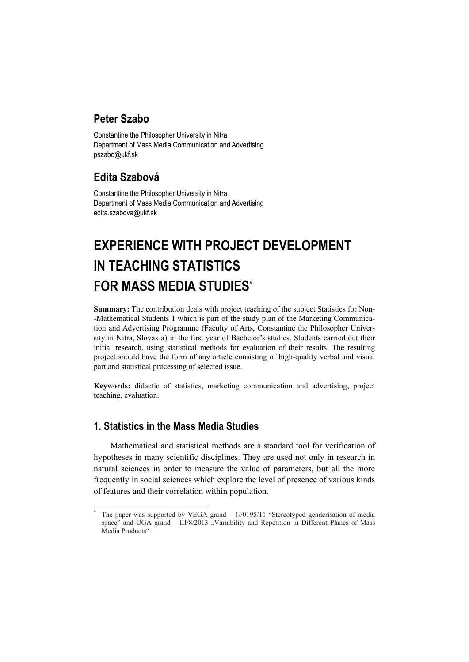# **Peter Szabo**

Constantine the Philosopher University in Nitra Department of Mass Media Communication and Advertising pszabo@ukf.sk

# **Edita Szabová**

Constantine the Philosopher University in Nitra Department of Mass Media Communication and Advertising edita.szabova@ukf.sk

# **EXPERIENCE WITH PROJECT DEVELOPMENT IN TEACHING STATISTICS FOR MASS MEDIA STUDIES\***

**Summary:** The contribution deals with project teaching of the subject Statistics for Non- -Mathematical Students 1 which is part of the study plan of the Marketing Communication and Advertising Programme (Faculty of Arts, Constantine the Philosopher University in Nitra, Slovakia) in the first year of Bachelor's studies. Students carried out their initial research, using statistical methods for evaluation of their results. The resulting project should have the form of any article consisting of high-quality verbal and visual part and statistical processing of selected issue.

**Keywords:** didactic of statistics, marketing communication and advertising, project teaching, evaluation.

# **1. Statistics in the Mass Media Studies**

Mathematical and statistical methods are a standard tool for verification of hypotheses in many scientific disciplines. They are used not only in research in natural sciences in order to measure the value of parameters, but all the more frequently in social sciences which explore the level of presence of various kinds of features and their correlation within population.

 $\overline{a}$ \* The paper was supported by VEGA grand – 1//0195/11 "Stereotyped genderisation of media space" and UGA grand  $-$  III/8/2013  $\sqrt{ }$  Variability and Repetition in Different Planes of Mass Media Products"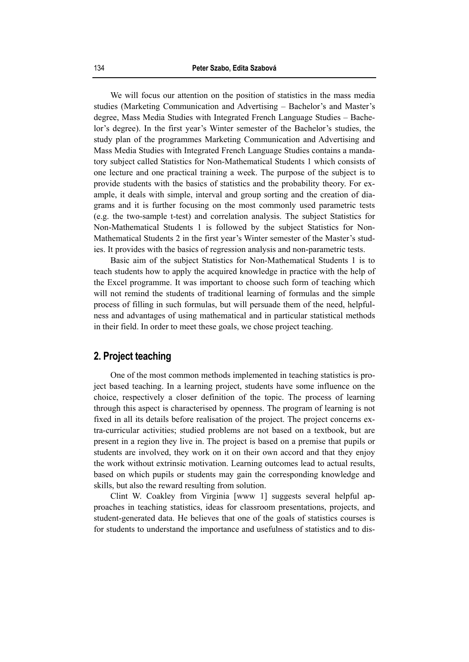We will focus our attention on the position of statistics in the mass media studies (Marketing Communication and Advertising – Bachelor's and Master's degree, Mass Media Studies with Integrated French Language Studies – Bachelor's degree). In the first year's Winter semester of the Bachelor's studies, the study plan of the programmes Marketing Communication and Advertising and Mass Media Studies with Integrated French Language Studies contains a mandatory subject called Statistics for Non-Mathematical Students 1 which consists of one lecture and one practical training a week. The purpose of the subject is to provide students with the basics of statistics and the probability theory. For example, it deals with simple, interval and group sorting and the creation of diagrams and it is further focusing on the most commonly used parametric tests (e.g. the two-sample t-test) and correlation analysis. The subject Statistics for Non-Mathematical Students 1 is followed by the subject Statistics for Non-Mathematical Students 2 in the first year's Winter semester of the Master's studies. It provides with the basics of regression analysis and non-parametric tests.

Basic aim of the subject Statistics for Non-Mathematical Students 1 is to teach students how to apply the acquired knowledge in practice with the help of the Excel programme. It was important to choose such form of teaching which will not remind the students of traditional learning of formulas and the simple process of filling in such formulas, but will persuade them of the need, helpfulness and advantages of using mathematical and in particular statistical methods in their field. In order to meet these goals, we chose project teaching.

#### **2. Project teaching**

One of the most common methods implemented in teaching statistics is project based teaching. In a learning project, students have some influence on the choice, respectively a closer definition of the topic. The process of learning through this aspect is characterised by openness. The program of learning is not fixed in all its details before realisation of the project. The project concerns extra-curricular activities; studied problems are not based on a textbook, but are present in a region they live in. The project is based on a premise that pupils or students are involved, they work on it on their own accord and that they enjoy the work without extrinsic motivation. Learning outcomes lead to actual results, based on which pupils or students may gain the corresponding knowledge and skills, but also the reward resulting from solution.

Clint W. Coakley from Virginia [www 1] suggests several helpful approaches in teaching statistics, ideas for classroom presentations, projects, and student-generated data. He believes that one of the goals of statistics courses is for students to understand the importance and usefulness of statistics and to dis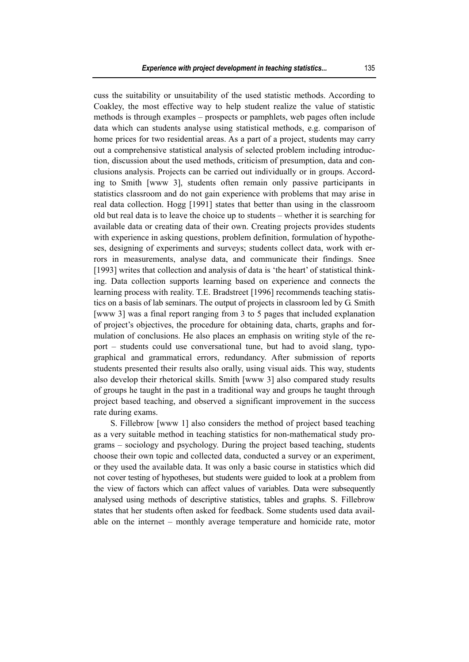cuss the suitability or unsuitability of the used statistic methods. According to Coakley, the most effective way to help student realize the value of statistic methods is through examples – prospects or pamphlets, web pages often include data which can students analyse using statistical methods, e.g. comparison of home prices for two residential areas. As a part of a project, students may carry out a comprehensive statistical analysis of selected problem including introduction, discussion about the used methods, criticism of presumption, data and conclusions analysis. Projects can be carried out individually or in groups. According to Smith [www 3], students often remain only passive participants in statistics classroom and do not gain experience with problems that may arise in real data collection. Hogg [1991] states that better than using in the classroom old but real data is to leave the choice up to students – whether it is searching for available data or creating data of their own. Creating projects provides students with experience in asking questions, problem definition, formulation of hypotheses, designing of experiments and surveys; students collect data, work with errors in measurements, analyse data, and communicate their findings. Snee [1993] writes that collection and analysis of data is 'the heart' of statistical thinking. Data collection supports learning based on experience and connects the learning process with reality. T.E. Bradstreet [1996] recommends teaching statistics on a basis of lab seminars. The output of projects in classroom led by G. Smith [www 3] was a final report ranging from 3 to 5 pages that included explanation of project's objectives, the procedure for obtaining data, charts, graphs and formulation of conclusions. He also places an emphasis on writing style of the report – students could use conversational tune, but had to avoid slang, typographical and grammatical errors, redundancy. After submission of reports students presented their results also orally, using visual aids. This way, students also develop their rhetorical skills. Smith [www 3] also compared study results of groups he taught in the past in a traditional way and groups he taught through project based teaching, and observed a significant improvement in the success rate during exams.

S. Fillebrow [www 1] also considers the method of project based teaching as a very suitable method in teaching statistics for non-mathematical study programs – sociology and psychology. During the project based teaching, students choose their own topic and collected data, conducted a survey or an experiment, or they used the available data. It was only a basic course in statistics which did not cover testing of hypotheses, but students were guided to look at a problem from the view of factors which can affect values of variables. Data were subsequently analysed using methods of descriptive statistics, tables and graphs. S. Fillebrow states that her students often asked for feedback. Some students used data available on the internet – monthly average temperature and homicide rate, motor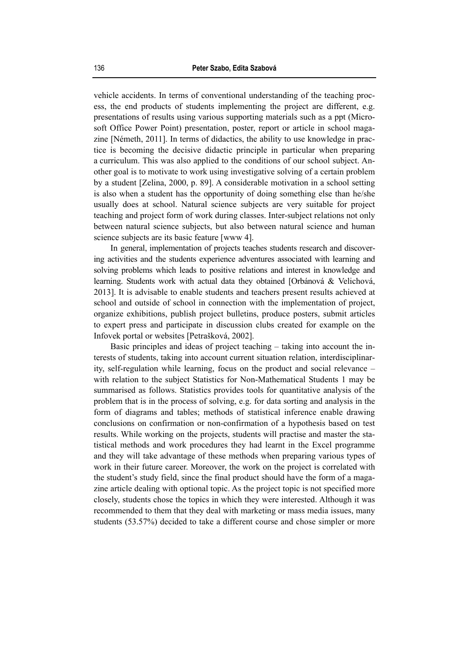vehicle accidents. In terms of conventional understanding of the teaching process, the end products of students implementing the project are different, e.g. presentations of results using various supporting materials such as a ppt (Microsoft Office Power Point) presentation, poster, report or article in school magazine [Németh, 2011]. In terms of didactics, the ability to use knowledge in practice is becoming the decisive didactic principle in particular when preparing a curriculum. This was also applied to the conditions of our school subject. Another goal is to motivate to work using investigative solving of a certain problem by a student [Zelina, 2000, p. 89]. A considerable motivation in a school setting is also when a student has the opportunity of doing something else than he/she usually does at school. Natural science subjects are very suitable for project teaching and project form of work during classes. Inter-subject relations not only between natural science subjects, but also between natural science and human science subjects are its basic feature [www 4].

In general, implementation of projects teaches students research and discovering activities and the students experience adventures associated with learning and solving problems which leads to positive relations and interest in knowledge and learning. Students work with actual data they obtained [Orbánová & Velichová, 2013]. It is advisable to enable students and teachers present results achieved at school and outside of school in connection with the implementation of project, organize exhibitions, publish project bulletins, produce posters, submit articles to expert press and participate in discussion clubs created for example on the Infovek portal or websites [Petrašková, 2002].

Basic principles and ideas of project teaching – taking into account the interests of students, taking into account current situation relation, interdisciplinarity, self-regulation while learning, focus on the product and social relevance – with relation to the subject Statistics for Non-Mathematical Students 1 may be summarised as follows. Statistics provides tools for quantitative analysis of the problem that is in the process of solving, e.g. for data sorting and analysis in the form of diagrams and tables; methods of statistical inference enable drawing conclusions on confirmation or non-confirmation of a hypothesis based on test results. While working on the projects, students will practise and master the statistical methods and work procedures they had learnt in the Excel programme and they will take advantage of these methods when preparing various types of work in their future career. Moreover, the work on the project is correlated with the student's study field, since the final product should have the form of a magazine article dealing with optional topic. As the project topic is not specified more closely, students chose the topics in which they were interested. Although it was recommended to them that they deal with marketing or mass media issues, many students (53.57%) decided to take a different course and chose simpler or more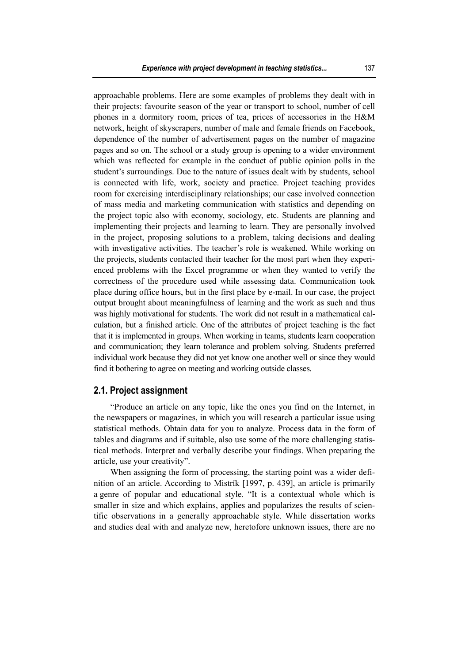approachable problems. Here are some examples of problems they dealt with in their projects: favourite season of the year or transport to school, number of cell phones in a dormitory room, prices of tea, prices of accessories in the H&M network, height of skyscrapers, number of male and female friends on Facebook, dependence of the number of advertisement pages on the number of magazine pages and so on. The school or a study group is opening to a wider environment which was reflected for example in the conduct of public opinion polls in the student's surroundings. Due to the nature of issues dealt with by students, school is connected with life, work, society and practice. Project teaching provides room for exercising interdisciplinary relationships; our case involved connection of mass media and marketing communication with statistics and depending on the project topic also with economy, sociology, etc. Students are planning and implementing their projects and learning to learn. They are personally involved in the project, proposing solutions to a problem, taking decisions and dealing with investigative activities. The teacher's role is weakened. While working on the projects, students contacted their teacher for the most part when they experienced problems with the Excel programme or when they wanted to verify the correctness of the procedure used while assessing data. Communication took place during office hours, but in the first place by e-mail. In our case, the project output brought about meaningfulness of learning and the work as such and thus was highly motivational for students. The work did not result in a mathematical calculation, but a finished article. One of the attributes of project teaching is the fact that it is implemented in groups. When working in teams, students learn cooperation and communication; they learn tolerance and problem solving. Students preferred individual work because they did not yet know one another well or since they would find it bothering to agree on meeting and working outside classes.

#### **2.1. Project assignment**

"Produce an article on any topic, like the ones you find on the Internet, in the newspapers or magazines, in which you will research a particular issue using statistical methods. Obtain data for you to analyze. Process data in the form of tables and diagrams and if suitable, also use some of the more challenging statistical methods. Interpret and verbally describe your findings. When preparing the article, use your creativity".

When assigning the form of processing, the starting point was a wider definition of an article. According to Mistrík [1997, p. 439], an article is primarily a genre of popular and educational style. "It is a contextual whole which is smaller in size and which explains, applies and popularizes the results of scientific observations in a generally approachable style. While dissertation works and studies deal with and analyze new, heretofore unknown issues, there are no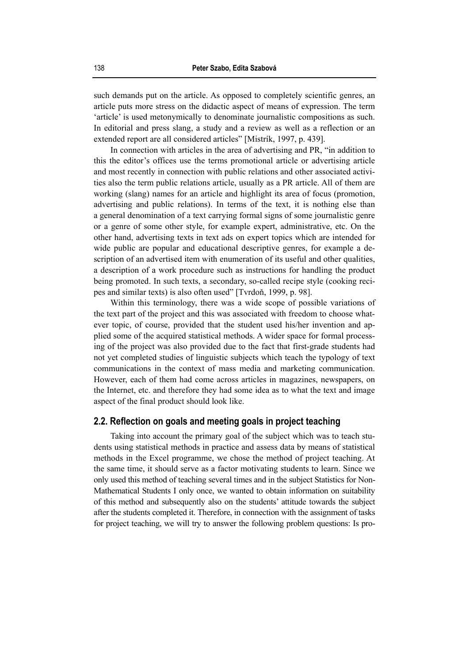such demands put on the article. As opposed to completely scientific genres, an article puts more stress on the didactic aspect of means of expression. The term 'article' is used metonymically to denominate journalistic compositions as such. In editorial and press slang, a study and a review as well as a reflection or an extended report are all considered articles" [Mistrík, 1997, p. 439].

In connection with articles in the area of advertising and PR, "in addition to this the editor's offices use the terms promotional article or advertising article and most recently in connection with public relations and other associated activities also the term public relations article, usually as a PR article. All of them are working (slang) names for an article and highlight its area of focus (promotion, advertising and public relations). In terms of the text, it is nothing else than a general denomination of a text carrying formal signs of some journalistic genre or a genre of some other style, for example expert, administrative, etc. On the other hand, advertising texts in text ads on expert topics which are intended for wide public are popular and educational descriptive genres, for example a description of an advertised item with enumeration of its useful and other qualities, a description of a work procedure such as instructions for handling the product being promoted. In such texts, a secondary, so-called recipe style (cooking recipes and similar texts) is also often used" [Tvrdoň, 1999, p. 98].

Within this terminology, there was a wide scope of possible variations of the text part of the project and this was associated with freedom to choose whatever topic, of course, provided that the student used his/her invention and applied some of the acquired statistical methods. A wider space for formal processing of the project was also provided due to the fact that first-grade students had not yet completed studies of linguistic subjects which teach the typology of text communications in the context of mass media and marketing communication. However, each of them had come across articles in magazines, newspapers, on the Internet, etc. and therefore they had some idea as to what the text and image aspect of the final product should look like.

#### **2.2. Reflection on goals and meeting goals in project teaching**

Taking into account the primary goal of the subject which was to teach students using statistical methods in practice and assess data by means of statistical methods in the Excel programme, we chose the method of project teaching. At the same time, it should serve as a factor motivating students to learn. Since we only used this method of teaching several times and in the subject Statistics for Non-Mathematical Students I only once, we wanted to obtain information on suitability of this method and subsequently also on the students' attitude towards the subject after the students completed it. Therefore, in connection with the assignment of tasks for project teaching, we will try to answer the following problem questions: Is pro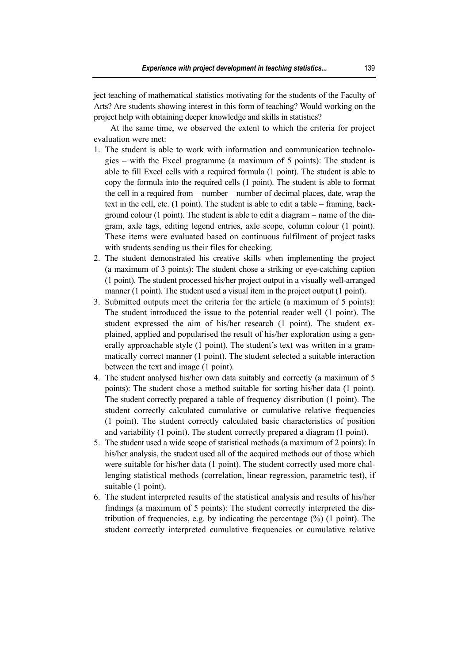ject teaching of mathematical statistics motivating for the students of the Faculty of Arts? Are students showing interest in this form of teaching? Would working on the project help with obtaining deeper knowledge and skills in statistics?

At the same time, we observed the extent to which the criteria for project evaluation were met:

- 1. The student is able to work with information and communication technologies – with the Excel programme (a maximum of 5 points): The student is able to fill Excel cells with a required formula (1 point). The student is able to copy the formula into the required cells (1 point). The student is able to format the cell in a required from – number – number of decimal places, date, wrap the text in the cell, etc. (1 point). The student is able to edit a table – framing, background colour (1 point). The student is able to edit a diagram – name of the diagram, axle tags, editing legend entries, axle scope, column colour (1 point). These items were evaluated based on continuous fulfilment of project tasks with students sending us their files for checking.
- 2. The student demonstrated his creative skills when implementing the project (a maximum of 3 points): The student chose a striking or eye-catching caption (1 point). The student processed his/her project output in a visually well-arranged manner (1 point). The student used a visual item in the project output (1 point).
- 3. Submitted outputs meet the criteria for the article (a maximum of 5 points): The student introduced the issue to the potential reader well (1 point). The student expressed the aim of his/her research (1 point). The student explained, applied and popularised the result of his/her exploration using a generally approachable style (1 point). The student's text was written in a grammatically correct manner (1 point). The student selected a suitable interaction between the text and image (1 point).
- 4. The student analysed his/her own data suitably and correctly (a maximum of 5 points): The student chose a method suitable for sorting his/her data (1 point). The student correctly prepared a table of frequency distribution (1 point). The student correctly calculated cumulative or cumulative relative frequencies (1 point). The student correctly calculated basic characteristics of position and variability (1 point). The student correctly prepared a diagram (1 point).
- 5. The student used a wide scope of statistical methods (a maximum of 2 points): In his/her analysis, the student used all of the acquired methods out of those which were suitable for his/her data (1 point). The student correctly used more challenging statistical methods (correlation, linear regression, parametric test), if suitable (1 point).
- 6. The student interpreted results of the statistical analysis and results of his/her findings (a maximum of 5 points): The student correctly interpreted the distribution of frequencies, e.g. by indicating the percentage (%) (1 point). The student correctly interpreted cumulative frequencies or cumulative relative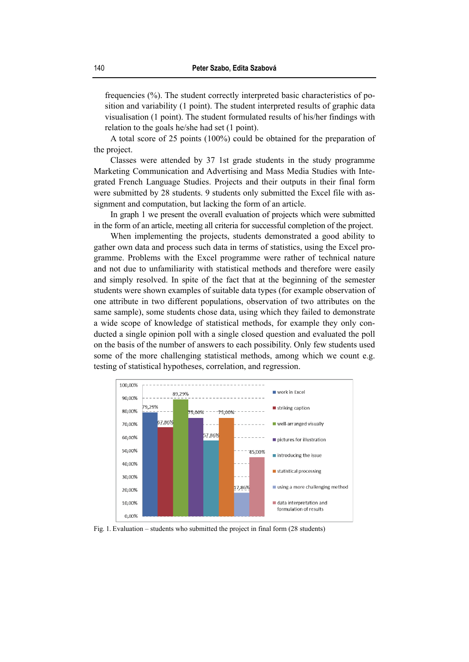frequencies (%). The student correctly interpreted basic characteristics of position and variability (1 point). The student interpreted results of graphic data visualisation (1 point). The student formulated results of his/her findings with relation to the goals he/she had set (1 point).

A total score of 25 points (100%) could be obtained for the preparation of the project.

Classes were attended by 37 1st grade students in the study programme Marketing Communication and Advertising and Mass Media Studies with Integrated French Language Studies. Projects and their outputs in their final form were submitted by 28 students. 9 students only submitted the Excel file with assignment and computation, but lacking the form of an article.

In graph 1 we present the overall evaluation of projects which were submitted in the form of an article, meeting all criteria for successful completion of the project.

When implementing the projects, students demonstrated a good ability to gather own data and process such data in terms of statistics, using the Excel programme. Problems with the Excel programme were rather of technical nature and not due to unfamiliarity with statistical methods and therefore were easily and simply resolved. In spite of the fact that at the beginning of the semester students were shown examples of suitable data types (for example observation of one attribute in two different populations, observation of two attributes on the same sample), some students chose data, using which they failed to demonstrate a wide scope of knowledge of statistical methods, for example they only conducted a single opinion poll with a single closed question and evaluated the poll on the basis of the number of answers to each possibility. Only few students used some of the more challenging statistical methods, among which we count e.g. testing of statistical hypotheses, correlation, and regression.



Fig. 1. Evaluation – students who submitted the project in final form (28 students)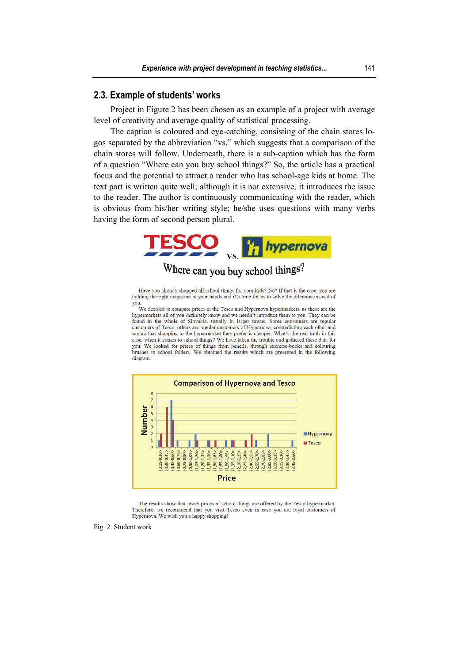#### **2.3. Example of students' works**

Project in Figure 2 has been chosen as an example of a project with average level of creativity and average quality of statistical processing.

The caption is coloured and eye-catching, consisting of the chain stores logos separated by the abbreviation "vs." which suggests that a comparison of the chain stores will follow. Underneath, there is a sub-caption which has the form of a question "Where can you buy school things?" So, the article has a practical focus and the potential to attract a reader who has school-age kids at home. The text part is written quite well; although it is not extensive, it introduces the issue to the reader. The author is continuously communicating with the reader, which is obvious from his/her writing style; he/she uses questions with many verbs having the form of second person plural.



Where can you buy school things?

Have you already shopped all school things for your kids? No? If that is the case, you are holding the right magazine in your hands and it's time for us to solve the dilemma instead of you

We decided to compare prices in the Tesco and Hypernova hypermarkets, as these are the hypermarkets all of you definitely know and we needn't introduce them to you. They can be found in the whole of Slovakia, usually in larger towns. Some consumers are regular customers of Tesco, others are regular customers of Hypermova, contradicting each other and<br>saying that shopping in the hypermarket they prefer is cheaper. What's the real truth in this case, when it comes to school things? We have taken the trouble and gathered these data for you. We looked for prices of things from pencils, through exercise-books and colouring brushes to school folders. We obtained the results which are presented in the following diagram.



The results show that lower prices of school things are offered by the Tesco hypermarket. Therefore, we recommend that you visit Tesco even in case you are loyal customers of Hypernova. We wish you a happy shopping!

Fig. 2. Student work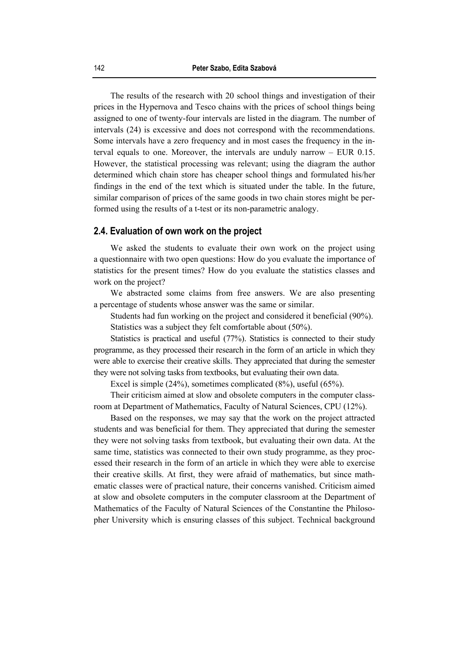The results of the research with 20 school things and investigation of their prices in the Hypernova and Tesco chains with the prices of school things being assigned to one of twenty-four intervals are listed in the diagram. The number of intervals (24) is excessive and does not correspond with the recommendations. Some intervals have a zero frequency and in most cases the frequency in the interval equals to one. Moreover, the intervals are unduly narrow – EUR 0.15. However, the statistical processing was relevant; using the diagram the author determined which chain store has cheaper school things and formulated his/her findings in the end of the text which is situated under the table. In the future, similar comparison of prices of the same goods in two chain stores might be performed using the results of a t-test or its non-parametric analogy.

#### **2.4. Evaluation of own work on the project**

We asked the students to evaluate their own work on the project using a questionnaire with two open questions: How do you evaluate the importance of statistics for the present times? How do you evaluate the statistics classes and work on the project?

We abstracted some claims from free answers. We are also presenting a percentage of students whose answer was the same or similar.

Students had fun working on the project and considered it beneficial (90%). Statistics was a subject they felt comfortable about (50%).

Statistics is practical and useful (77%). Statistics is connected to their study programme, as they processed their research in the form of an article in which they were able to exercise their creative skills. They appreciated that during the semester they were not solving tasks from textbooks, but evaluating their own data.

Excel is simple (24%), sometimes complicated (8%), useful (65%).

Their criticism aimed at slow and obsolete computers in the computer classroom at Department of Mathematics, Faculty of Natural Sciences, CPU (12%).

Based on the responses, we may say that the work on the project attracted students and was beneficial for them. They appreciated that during the semester they were not solving tasks from textbook, but evaluating their own data. At the same time, statistics was connected to their own study programme, as they processed their research in the form of an article in which they were able to exercise their creative skills. At first, they were afraid of mathematics, but since mathematic classes were of practical nature, their concerns vanished. Criticism aimed at slow and obsolete computers in the computer classroom at the Department of Mathematics of the Faculty of Natural Sciences of the Constantine the Philosopher University which is ensuring classes of this subject. Technical background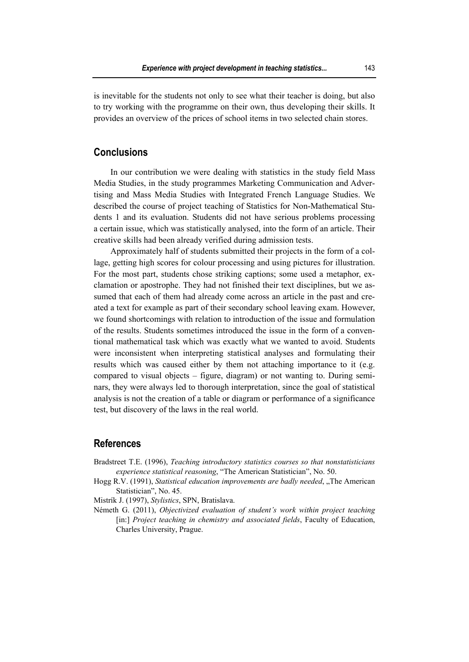is inevitable for the students not only to see what their teacher is doing, but also to try working with the programme on their own, thus developing their skills. It provides an overview of the prices of school items in two selected chain stores.

### **Conclusions**

In our contribution we were dealing with statistics in the study field Mass Media Studies, in the study programmes Marketing Communication and Advertising and Mass Media Studies with Integrated French Language Studies. We described the course of project teaching of Statistics for Non-Mathematical Students 1 and its evaluation. Students did not have serious problems processing a certain issue, which was statistically analysed, into the form of an article. Their creative skills had been already verified during admission tests.

Approximately half of students submitted their projects in the form of a collage, getting high scores for colour processing and using pictures for illustration. For the most part, students chose striking captions; some used a metaphor, exclamation or apostrophe. They had not finished their text disciplines, but we assumed that each of them had already come across an article in the past and created a text for example as part of their secondary school leaving exam. However, we found shortcomings with relation to introduction of the issue and formulation of the results. Students sometimes introduced the issue in the form of a conventional mathematical task which was exactly what we wanted to avoid. Students were inconsistent when interpreting statistical analyses and formulating their results which was caused either by them not attaching importance to it (e.g. compared to visual objects – figure, diagram) or not wanting to. During seminars, they were always led to thorough interpretation, since the goal of statistical analysis is not the creation of a table or diagram or performance of a significance test, but discovery of the laws in the real world.

#### **References**

- Bradstreet T.E. (1996), *Teaching introductory statistics courses so that nonstatisticians experience statistical reasoning*, "The American Statistician", No. 50.
- Hogg R.V. (1991), *Statistical education improvements are badly needed*, "The American Statistician", No. 45.
- Mistrík J. (1997), *Stylistics*, SPN, Bratislava.
- Németh G. (2011), *Objectivized evaluation of student's work within project teaching* [in:] *Project teaching in chemistry and associated fields*, Faculty of Education, Charles University, Prague.